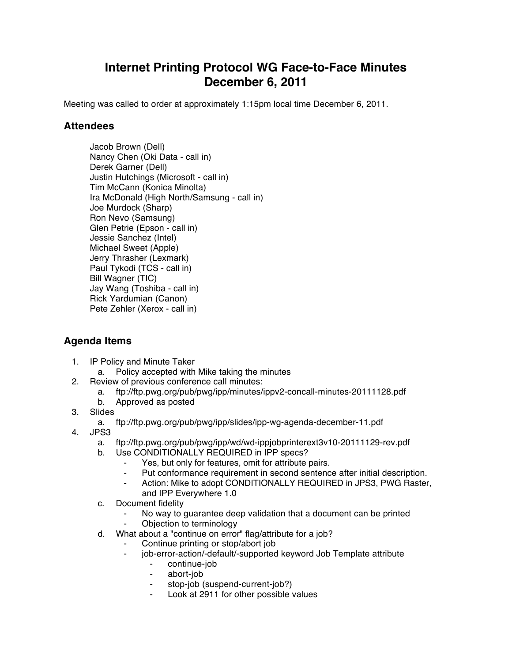## **Internet Printing Protocol WG Face-to-Face Minutes December 6, 2011**

Meeting was called to order at approximately 1:15pm local time December 6, 2011.

## **Attendees**

Jacob Brown (Dell) Nancy Chen (Oki Data - call in) Derek Garner (Dell) Justin Hutchings (Microsoft - call in) Tim McCann (Konica Minolta) Ira McDonald (High North/Samsung - call in) Joe Murdock (Sharp) Ron Nevo (Samsung) Glen Petrie (Epson - call in) Jessie Sanchez (Intel) Michael Sweet (Apple) Jerry Thrasher (Lexmark) Paul Tykodi (TCS - call in) Bill Wagner (TIC) Jay Wang (Toshiba - call in) Rick Yardumian (Canon) Pete Zehler (Xerox - call in)

## **Agenda Items**

- 1. IP Policy and Minute Taker
	- a. Policy accepted with Mike taking the minutes
- 2. Review of previous conference call minutes:
	- a. ftp://ftp.pwg.org/pub/pwg/ipp/minutes/ippv2-concall-minutes-20111128.pdf
	- b. Approved as posted
- 3. Slides
	- a. ftp://ftp.pwg.org/pub/pwg/ipp/slides/ipp-wg-agenda-december-11.pdf
- 4. JPS3
	- a. ftp://ftp.pwg.org/pub/pwg/ipp/wd/wd-ippjobprinterext3v10-20111129-rev.pdf
	- b. Use CONDITIONALLY REQUIRED in IPP specs?
		- Yes, but only for features, omit for attribute pairs.
		- Put conformance requirement in second sentence after initial description.
		- ⁃ Action: Mike to adopt CONDITIONALLY REQUIRED in JPS3, PWG Raster, and IPP Everywhere 1.0
	- c. Document fidelity
		- ⁃ No way to guarantee deep validation that a document can be printed
		- Objection to terminology
	- d. What about a "continue on error" flag/attribute for a job?
		- Continue printing or stop/abort job
		- ⁃ job-error-action/-default/-supported keyword Job Template attribute
			- ⁃ continue-job
			- ⁃ abort-job
			- stop-job (suspend-current-job?)
			- Look at 2911 for other possible values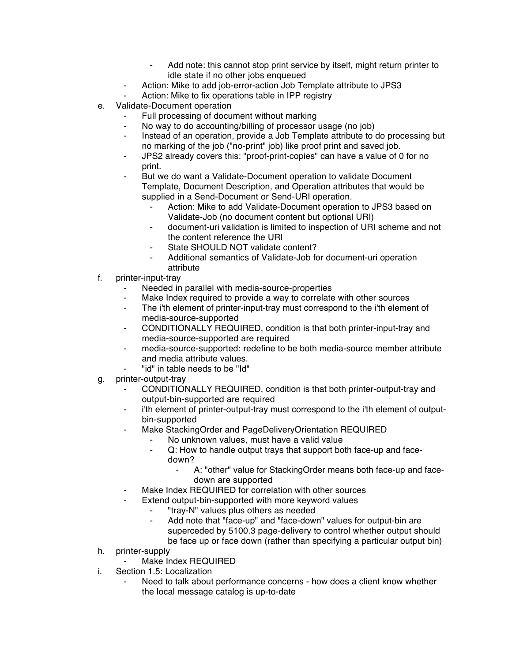- Add note: this cannot stop print service by itself, might return printer to idle state if no other jobs enqueued
- ⁃ Action: Mike to add job-error-action Job Template attribute to JPS3
- Action: Mike to fix operations table in IPP registry
- e. Validate-Document operation
	- Full processing of document without marking
	- No way to do accounting/billing of processor usage (no job)
	- Instead of an operation, provide a Job Template attribute to do processing but no marking of the job ("no-print" job) like proof print and saved job.
	- JPS2 already covers this: "proof-print-copies" can have a value of 0 for no print.
	- But we do want a Validate-Document operation to validate Document Template, Document Description, and Operation attributes that would be supplied in a Send-Document or Send-URI operation.
		- Action: Mike to add Validate-Document operation to JPS3 based on Validate-Job (no document content but optional URI)
		- ⁃ document-uri validation is limited to inspection of URI scheme and not the content reference the URI
		- State SHOULD NOT validate content?
		- Additional semantics of Validate-Job for document-uri operation attribute
- f. printer-input-tray
	- Needed in parallel with media-source-properties
	- ⁃ Make Index required to provide a way to correlate with other sources
	- ⁃ The i'th element of printer-input-tray must correspond to the i'th element of media-source-supported
	- ⁃ CONDITIONALLY REQUIRED, condition is that both printer-input-tray and media-source-supported are required
	- ⁃ media-source-supported: redefine to be both media-source member attribute and media attribute values.
		- "id" in table needs to be "Id"
- g. printer-output-tray
	- ⁃ CONDITIONALLY REQUIRED, condition is that both printer-output-tray and output-bin-supported are required
	- ⁃ i'th element of printer-output-tray must correspond to the i'th element of outputbin-supported
	- Make StackingOrder and PageDeliveryOrientation REQUIRED
		- No unknown values, must have a valid value
		- Q: How to handle output trays that support both face-up and facedown?
			- ⁃ A: "other" value for StackingOrder means both face-up and facedown are supported
	- Make Index REQUIRED for correlation with other sources
	- ⁃ Extend output-bin-supported with more keyword values
		- ⁃ "tray-N" values plus others as needed
		- Add note that "face-up" and "face-down" values for output-bin are superceded by 5100.3 page-delivery to control whether output should be face up or face down (rather than specifying a particular output bin)
- h. printer-supply
	- Make Index REQUIRED
- i. Section 1.5: Localization
	- Need to talk about performance concerns how does a client know whether the local message catalog is up-to-date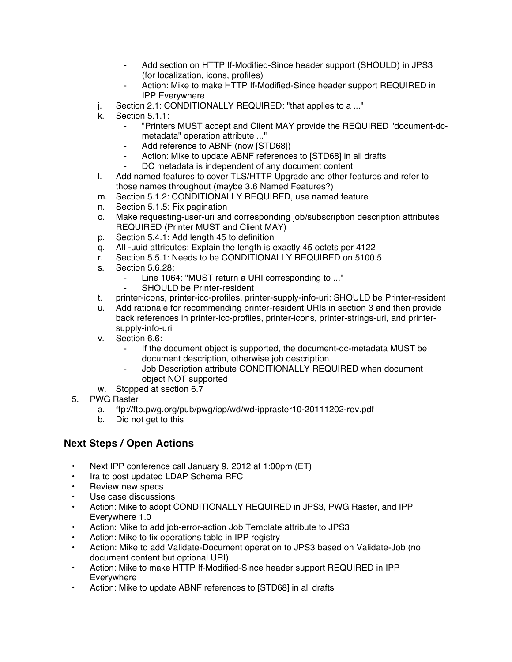- Add section on HTTP If-Modified-Since header support (SHOULD) in JPS3 (for localization, icons, profiles)
- Action: Mike to make HTTP If-Modified-Since header support REQUIRED in IPP Everywhere
- j. Section 2.1: CONDITIONALLY REQUIRED: "that applies to a ..."
- k. Section 5.1.1:
	- ⁃ "Printers MUST accept and Client MAY provide the REQUIRED "document-dcmetadata" operation attribute ..."
	- Add reference to ABNF (now [STD68])
	- ⁃ Action: Mike to update ABNF references to [STD68] in all drafts DC metadata is independent of any document content
- l. Add named features to cover TLS/HTTP Upgrade and other features and refer to those names throughout (maybe 3.6 Named Features?)
- m. Section 5.1.2: CONDITIONALLY REQUIRED, use named feature
- n. Section 5.1.5: Fix pagination
- o. Make requesting-user-uri and corresponding job/subscription description attributes REQUIRED (Printer MUST and Client MAY)
- p. Section 5.4.1: Add length 45 to definition
- q. All -uuid attributes: Explain the length is exactly 45 octets per 4122
- r. Section 5.5.1: Needs to be CONDITIONALLY REQUIRED on 5100.5
- s. Section 5.6.28:
	- Line 1064: "MUST return a URI corresponding to ..."
	- ⁃ SHOULD be Printer-resident
- t. printer-icons, printer-icc-profiles, printer-supply-info-uri: SHOULD be Printer-resident
- u. Add rationale for recommending printer-resident URIs in section 3 and then provide back references in printer-icc-profiles, printer-icons, printer-strings-uri, and printersupply-info-uri
- v. Section 6.6:
	- ⁃ If the document object is supported, the document-dc-metadata MUST be document description, otherwise job description
	- Job Description attribute CONDITIONALLY REQUIRED when document object NOT supported
- w. Stopped at section 6.7
- 5. PWG Raster
	- a. ftp://ftp.pwg.org/pub/pwg/ipp/wd/wd-ippraster10-20111202-rev.pdf
	- b. Did not get to this

## **Next Steps / Open Actions**

- Next IPP conference call January 9, 2012 at 1:00pm (ET)
- Ira to post updated LDAP Schema RFC
- Review new specs
- Use case discussions
- Action: Mike to adopt CONDITIONALLY REQUIRED in JPS3, PWG Raster, and IPP Everywhere 1.0
- Action: Mike to add job-error-action Job Template attribute to JPS3
- Action: Mike to fix operations table in IPP registry
- Action: Mike to add Validate-Document operation to JPS3 based on Validate-Job (no document content but optional URI)
- Action: Mike to make HTTP If-Modified-Since header support REQUIRED in IPP Everywhere
- Action: Mike to update ABNF references to [STD68] in all drafts